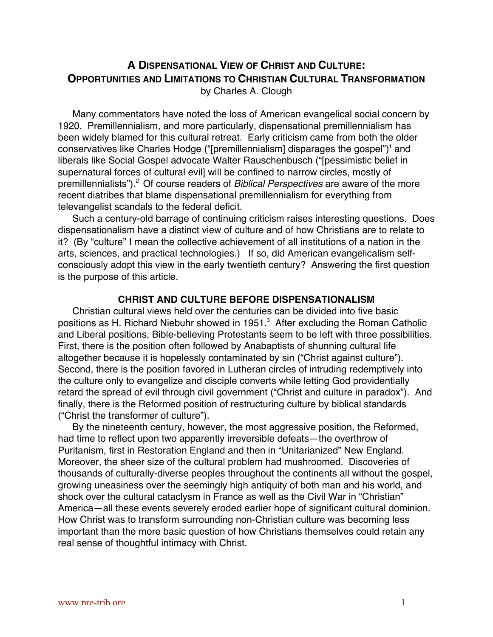# **A DISPENSATIONAL VIEW OF CHRIST AND CULTURE: OPPORTUNITIES AND LIMITATIONS TO CHRISTIAN CULTURAL TRANSFORMATION** by Charles A. Clough

Many commentators have noted the loss of American evangelical social concern by 1920. Premillennialism, and more particularly, dispensational premillennialism has been widely blamed for this cultural retreat. Early criticism came from both the older conservatives like Charles Hodge ("[premillennialism] disparages the gospel")<sup>1</sup> and liberals like Social Gospel advocate Walter Rauschenbusch ("[pessimistic belief in supernatural forces of cultural evil] will be confined to narrow circles, mostly of premillennialists").<sup>2</sup> Of course readers of Biblical Perspectives are aware of the more recent diatribes that blame dispensational premillennialism for everything from televangelist scandals to the federal deficit.

Such a century-old barrage of continuing criticism raises interesting questions. Does dispensationalism have a distinct view of culture and of how Christians are to relate to it? (By "culture" I mean the collective achievement of all institutions of a nation in the arts, sciences, and practical technologies.) If so, did American evangelicalism selfconsciously adopt this view in the early twentieth century? Answering the first question is the purpose of this article.

## **CHRIST AND CULTURE BEFORE DISPENSATIONALISM**

Christian cultural views held over the centuries can be divided into five basic positions as H. Richard Niebuhr showed in 1951. $^3$  After excluding the Roman Catholic and Liberal positions, Bible-believing Protestants seem to be left with three possibilities. First, there is the position often followed by Anabaptists of shunning cultural life altogether because it is hopelessly contaminated by sin ("Christ against culture"). Second, there is the position favored in Lutheran circles of intruding redemptively into the culture only to evangelize and disciple converts while letting God providentially retard the spread of evil through civil government ("Christ and culture in paradox"). And finally, there is the Reformed position of restructuring culture by biblical standards ("Christ the transformer of culture").

By the nineteenth century, however, the most aggressive position, the Reformed, had time to reflect upon two apparently irreversible defeats—the overthrow of Puritanism, first in Restoration England and then in "Unitarianized" New England. Moreover, the sheer size of the cultural problem had mushroomed. Discoveries of thousands of culturally-diverse peoples throughout the continents all without the gospel, growing uneasiness over the seemingly high antiquity of both man and his world, and shock over the cultural cataclysm in France as well as the Civil War in "Christian" America—all these events severely eroded earlier hope of significant cultural dominion. How Christ was to transform surrounding non-Christian culture was becoming less important than the more basic question of how Christians themselves could retain any real sense of thoughtful intimacy with Christ.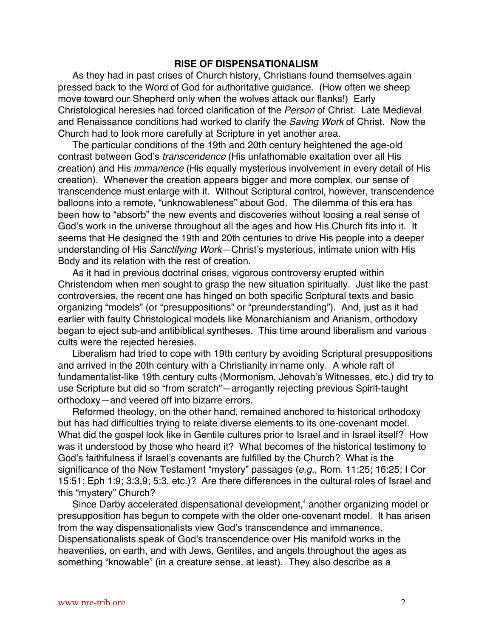### **RISE OF DISPENSATIONALISM**

As they had in past crises of Church history, Christians found themselves again pressed back to the Word of God for authoritative guidance. (How often we sheep move toward our Shepherd only when the wolves attack our flanks!) Early Christological heresies had forced clarification of the Person of Christ. Late Medieval and Renaissance conditions had worked to clarify the Saving Work of Christ. Now the Church had to look more carefully at Scripture in yet another area.

The particular conditions of the 19th and 20th century heightened the age-old contrast between God's transcendence (His unfathomable exaltation over all His creation) and His immanence (His equally mysterious involvement in every detail of His creation). Whenever the creation appears bigger and more complex, our sense of transcendence must enlarge with it. Without Scriptural control, however, transcendence balloons into a remote, "unknowableness" about God. The dilemma of this era has been how to "absorb" the new events and discoveries without loosing a real sense of God's work in the universe throughout all the ages and how His Church fits into it. It seems that He designed the 19th and 20th centuries to drive His people into a deeper understanding of His Sanctifying Work—Christ's mysterious, intimate union with His Body and its relation with the rest of creation.

As it had in previous doctrinal crises, vigorous controversy erupted within Christendom when men sought to grasp the new situation spiritually. Just like the past controversies, the recent one has hinged on both specific Scriptural texts and basic organizing "models" (or "presuppositions" or "preunderstanding"). And, just as it had earlier with faulty Christological models like Monarchianism and Arianism, orthodoxy began to eject sub-and antibiblical syntheses. This time around liberalism and various cults were the rejected heresies.

Liberalism had tried to cope with 19th century by avoiding Scriptural presuppositions and arrived in the 20th century with a Christianity in name only. A whole raft of fundamentalist-like 19th century cults (Mormonism, Jehovah's Witnesses, etc.) did try to use Scripture but did so "from scratch"—arrogantly rejecting previous Spirit-taught orthodoxy—and veered off into bizarre errors.

Reformed theology, on the other hand, remained anchored to historical orthodoxy but has had difficulties trying to relate diverse elements to its one-covenant model. What did the gospel look like in Gentile cultures prior to Israel and in Israel itself? How was it understood by those who heard it? What becomes of the historical testimony to God's faithfulness if Israel's covenants are fulfilled by the Church? What is the significance of the New Testament "mystery" passages (e.g., Rom. 11:25; 16:25; I Cor 15:51; Eph 1:9; 3:3,9; 5:3, etc.)? Are there differences in the cultural roles of Israel and this "mystery" Church?

Since Darby accelerated dispensational development,<sup>4</sup> another organizing model or presupposition has begun to compete with the older one-covenant model. It has arisen from the way dispensationalists view God's transcendence and immanence. Dispensationalists speak of God's transcendence over His manifold works in the heavenlies, on earth, and with Jews, Gentiles, and angels throughout the ages as something "knowable" (in a creature sense, at least). They also describe as a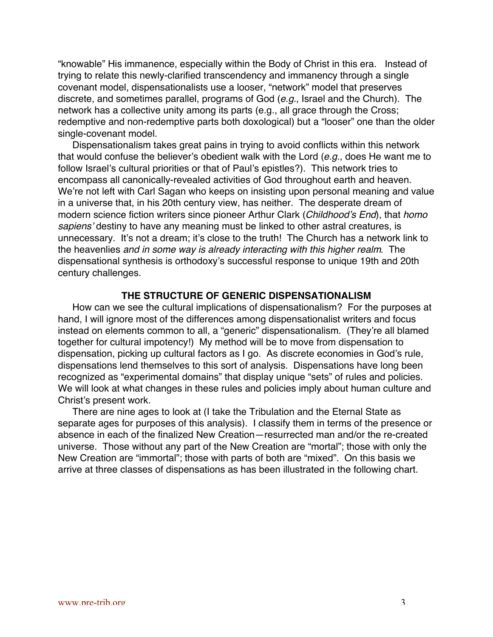"knowable" His immanence, especially within the Body of Christ in this era. Instead of trying to relate this newly-clarified transcendency and immanency through a single covenant model, dispensationalists use a looser, "network" model that preserves discrete, and sometimes parallel, programs of God (e.g., Israel and the Church). The network has a collective unity among its parts (e.g., all grace through the Cross; redemptive and non-redemptive parts both doxological) but a "looser" one than the older single-covenant model.

Dispensationalism takes great pains in trying to avoid conflicts within this network that would confuse the believer's obedient walk with the Lord  $(e.g., does He want me to$ follow Israel's cultural priorities or that of Paul's epistles?). This network tries to encompass all canonically-revealed activities of God throughout earth and heaven. We're not left with Carl Sagan who keeps on insisting upon personal meaning and value in a universe that, in his 20th century view, has neither. The desperate dream of modern science fiction writers since pioneer Arthur Clark (Childhood's End), that homo sapiens' destiny to have any meaning must be linked to other astral creatures, is unnecessary. It's not a dream; it's close to the truth! The Church has a network link to the heavenlies and in some way is already interacting with this higher realm. The dispensational synthesis is orthodoxy's successful response to unique 19th and 20th century challenges.

### **THE STRUCTURE OF GENERIC DISPENSATIONALISM**

How can we see the cultural implications of dispensationalism? For the purposes at hand, I will ignore most of the differences among dispensationalist writers and focus instead on elements common to all, a "generic" dispensationalism. (They're all blamed together for cultural impotency!) My method will be to move from dispensation to dispensation, picking up cultural factors as I go. As discrete economies in God's rule, dispensations lend themselves to this sort of analysis. Dispensations have long been recognized as "experimental domains" that display unique "sets" of rules and policies. We will look at what changes in these rules and policies imply about human culture and Christ's present work.

There are nine ages to look at (I take the Tribulation and the Eternal State as separate ages for purposes of this analysis). I classify them in terms of the presence or absence in each of the finalized New Creation—resurrected man and/or the re-created universe. Those without any part of the New Creation are "mortal"; those with only the New Creation are "immortal"; those with parts of both are "mixed". On this basis we arrive at three classes of dispensations as has been illustrated in the following chart.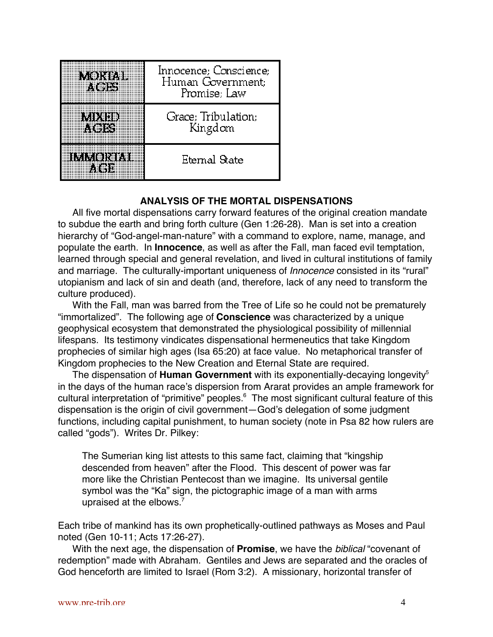| 我们的时              | Innocence; Conscience;<br>Human Government:<br>Promise; Law |
|-------------------|-------------------------------------------------------------|
|                   | Grace; Tribulation;<br>Kingdom                              |
| <b>INSINGRAPH</b> | Eternal State                                               |

## **ANALYSIS OF THE MORTAL DISPENSATIONS**

All five mortal dispensations carry forward features of the original creation mandate to subdue the earth and bring forth culture (Gen 1:26-28). Man is set into a creation hierarchy of "God-angel-man-nature" with a command to explore, name, manage, and populate the earth. In **Innocence**, as well as after the Fall, man faced evil temptation, learned through special and general revelation, and lived in cultural institutions of family and marriage. The culturally-important uniqueness of Innocence consisted in its "rural" utopianism and lack of sin and death (and, therefore, lack of any need to transform the culture produced).

With the Fall, man was barred from the Tree of Life so he could not be prematurely "immortalized". The following age of **Conscience** was characterized by a unique geophysical ecosystem that demonstrated the physiological possibility of millennial lifespans. Its testimony vindicates dispensational hermeneutics that take Kingdom prophecies of similar high ages (Isa 65:20) at face value. No metaphorical transfer of Kingdom prophecies to the New Creation and Eternal State are required.

The dispensation of **Human Government** with its exponentially-decaying longevity<sup>5</sup> in the days of the human race's dispersion from Ararat provides an ample framework for cultural interpretation of "primitive" peoples.<sup>6</sup> The most significant cultural feature of this dispensation is the origin of civil government—God's delegation of some judgment functions, including capital punishment, to human society (note in Psa 82 how rulers are called "gods"). Writes Dr. Pilkey:

The Sumerian king list attests to this same fact, claiming that "kingship descended from heaven" after the Flood. This descent of power was far more like the Christian Pentecost than we imagine. Its universal gentile symbol was the "Ka" sign, the pictographic image of a man with arms upraised at the elbows. $<sup>7</sup>$ </sup>

Each tribe of mankind has its own prophetically-outlined pathways as Moses and Paul noted (Gen 10-11; Acts 17:26-27).

With the next age, the dispensation of **Promise**, we have the biblical "covenant of redemption" made with Abraham. Gentiles and Jews are separated and the oracles of God henceforth are limited to Israel (Rom 3:2). A missionary, horizontal transfer of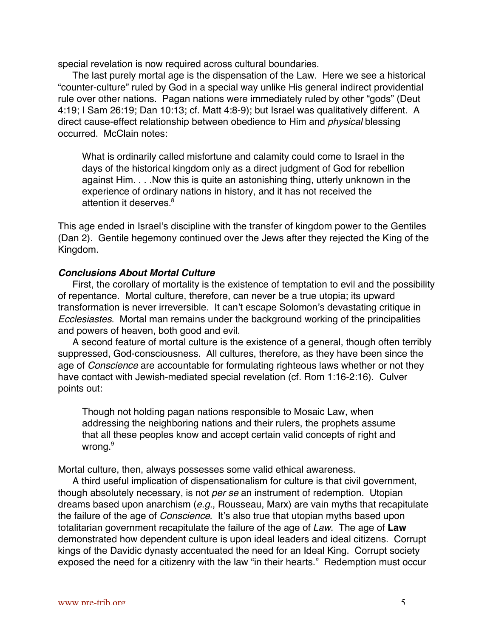special revelation is now required across cultural boundaries.

The last purely mortal age is the dispensation of the Law. Here we see a historical "counter-culture" ruled by God in a special way unlike His general indirect providential rule over other nations. Pagan nations were immediately ruled by other "gods" (Deut 4:19; I Sam 26:19; Dan 10:13; cf. Matt 4:8-9); but Israel was qualitatively different. A direct cause-effect relationship between obedience to Him and physical blessing occurred. McClain notes:

What is ordinarily called misfortune and calamity could come to Israel in the days of the historical kingdom only as a direct judgment of God for rebellion against Him. . . .Now this is quite an astonishing thing, utterly unknown in the experience of ordinary nations in history, and it has not received the attention it deserves.<sup>8</sup>

This age ended in Israel's discipline with the transfer of kingdom power to the Gentiles (Dan 2). Gentile hegemony continued over the Jews after they rejected the King of the Kingdom.

### **Conclusions About Mortal Culture**

First, the corollary of mortality is the existence of temptation to evil and the possibility of repentance. Mortal culture, therefore, can never be a true utopia; its upward transformation is never irreversible. It can't escape Solomon's devastating critique in Ecclesiastes. Mortal man remains under the background working of the principalities and powers of heaven, both good and evil.

A second feature of mortal culture is the existence of a general, though often terribly suppressed, God-consciousness. All cultures, therefore, as they have been since the age of Conscience are accountable for formulating righteous laws whether or not they have contact with Jewish-mediated special revelation (cf. Rom 1:16-2:16). Culver points out:

Though not holding pagan nations responsible to Mosaic Law, when addressing the neighboring nations and their rulers, the prophets assume that all these peoples know and accept certain valid concepts of right and wrong.<sup>9</sup>

Mortal culture, then, always possesses some valid ethical awareness.

A third useful implication of dispensationalism for culture is that civil government, though absolutely necessary, is not per se an instrument of redemption. Utopian dreams based upon anarchism (e.g., Rousseau, Marx) are vain myths that recapitulate the failure of the age of *Conscience*. It's also true that utopian myths based upon totalitarian government recapitulate the failure of the age of Law. The age of **Law** demonstrated how dependent culture is upon ideal leaders and ideal citizens. Corrupt kings of the Davidic dynasty accentuated the need for an Ideal King. Corrupt society exposed the need for a citizenry with the law "in their hearts." Redemption must occur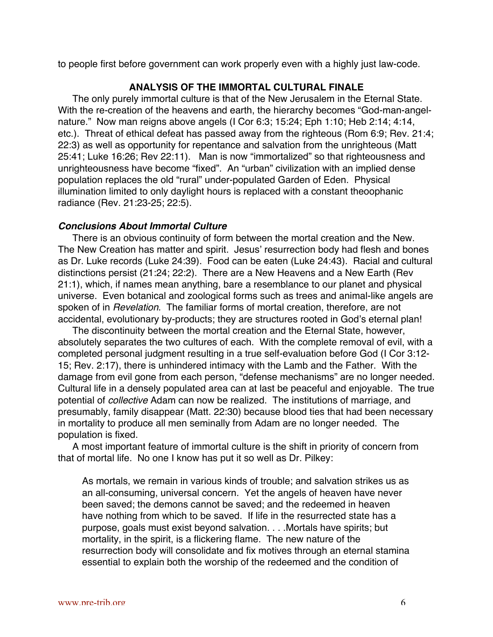to people first before government can work properly even with a highly just law-code.

## **ANALYSIS OF THE IMMORTAL CULTURAL FINALE**

The only purely immortal culture is that of the New Jerusalem in the Eternal State. With the re-creation of the heavens and earth, the hierarchy becomes "God-man-angelnature." Now man reigns above angels (I Cor 6:3; 15:24; Eph 1:10; Heb 2:14; 4:14, etc.). Threat of ethical defeat has passed away from the righteous (Rom 6:9; Rev. 21:4; 22:3) as well as opportunity for repentance and salvation from the unrighteous (Matt 25:41; Luke 16:26; Rev 22:11). Man is now "immortalized" so that righteousness and unrighteousness have become "fixed". An "urban" civilization with an implied dense population replaces the old "rural" under-populated Garden of Eden. Physical illumination limited to only daylight hours is replaced with a constant theoophanic radiance (Rev. 21:23-25; 22:5).

## **Conclusions About Immortal Culture**

There is an obvious continuity of form between the mortal creation and the New. The New Creation has matter and spirit. Jesus' resurrection body had flesh and bones as Dr. Luke records (Luke 24:39). Food can be eaten (Luke 24:43). Racial and cultural distinctions persist (21:24; 22:2). There are a New Heavens and a New Earth (Rev 21:1), which, if names mean anything, bare a resemblance to our planet and physical universe. Even botanical and zoological forms such as trees and animal-like angels are spoken of in Revelation. The familiar forms of mortal creation, therefore, are not accidental, evolutionary by-products; they are structures rooted in God's eternal plan!

The discontinuity between the mortal creation and the Eternal State, however, absolutely separates the two cultures of each. With the complete removal of evil, with a completed personal judgment resulting in a true self-evaluation before God (I Cor 3:12- 15; Rev. 2:17), there is unhindered intimacy with the Lamb and the Father. With the damage from evil gone from each person, "defense mechanisms" are no longer needed. Cultural life in a densely populated area can at last be peaceful and enjoyable. The true potential of *collective* Adam can now be realized. The institutions of marriage, and presumably, family disappear (Matt. 22:30) because blood ties that had been necessary in mortality to produce all men seminally from Adam are no longer needed. The population is fixed.

A most important feature of immortal culture is the shift in priority of concern from that of mortal life. No one I know has put it so well as Dr. Pilkey:

As mortals, we remain in various kinds of trouble; and salvation strikes us as an all-consuming, universal concern. Yet the angels of heaven have never been saved; the demons cannot be saved; and the redeemed in heaven have nothing from which to be saved. If life in the resurrected state has a purpose, goals must exist beyond salvation. . . .Mortals have spirits; but mortality, in the spirit, is a flickering flame. The new nature of the resurrection body will consolidate and fix motives through an eternal stamina essential to explain both the worship of the redeemed and the condition of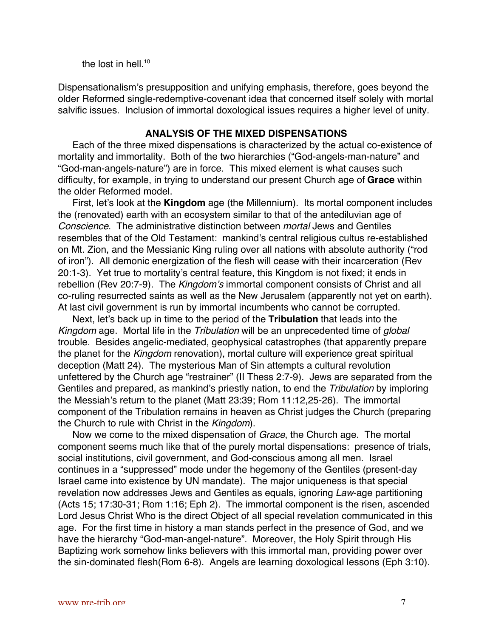the lost in hell. $10$ 

Dispensationalism's presupposition and unifying emphasis, therefore, goes beyond the older Reformed single-redemptive-covenant idea that concerned itself solely with mortal salvific issues. Inclusion of immortal doxological issues requires a higher level of unity.

## **ANALYSIS OF THE MIXED DISPENSATIONS**

Each of the three mixed dispensations is characterized by the actual co-existence of mortality and immortality. Both of the two hierarchies ("God-angels-man-nature" and "God-man-angels-nature") are in force. This mixed element is what causes such difficulty, for example, in trying to understand our present Church age of **Grace** within the older Reformed model.

First, let's look at the **Kingdom** age (the Millennium). Its mortal component includes the (renovated) earth with an ecosystem similar to that of the antediluvian age of Conscience. The administrative distinction between mortal Jews and Gentiles resembles that of the Old Testament: mankind's central religious cultus re-established on Mt. Zion, and the Messianic King ruling over all nations with absolute authority ("rod of iron"). All demonic energization of the flesh will cease with their incarceration (Rev 20:1-3). Yet true to mortality's central feature, this Kingdom is not fixed; it ends in rebellion (Rev 20:7-9). The Kingdom's immortal component consists of Christ and all co-ruling resurrected saints as well as the New Jerusalem (apparently not yet on earth). At last civil government is run by immortal incumbents who cannot be corrupted.

Next, let's back up in time to the period of the **Tribulation** that leads into the Kingdom age. Mortal life in the Tribulation will be an unprecedented time of global trouble. Besides angelic-mediated, geophysical catastrophes (that apparently prepare the planet for the Kingdom renovation), mortal culture will experience great spiritual deception (Matt 24). The mysterious Man of Sin attempts a cultural revolution unfettered by the Church age "restrainer" (II Thess 2:7-9). Jews are separated from the Gentiles and prepared, as mankind's priestly nation, to end the Tribulation by imploring the Messiah's return to the planet (Matt 23:39; Rom 11:12,25-26). The immortal component of the Tribulation remains in heaven as Christ judges the Church (preparing the Church to rule with Christ in the Kingdom).

Now we come to the mixed dispensation of Grace, the Church age. The mortal component seems much like that of the purely mortal dispensations: presence of trials, social institutions, civil government, and God-conscious among all men. Israel continues in a "suppressed" mode under the hegemony of the Gentiles (present-day Israel came into existence by UN mandate). The major uniqueness is that special revelation now addresses Jews and Gentiles as equals, ignoring Law-age partitioning (Acts 15; 17:30-31; Rom 1:16; Eph 2). The immortal component is the risen, ascended Lord Jesus Christ Who is the direct Object of all special revelation communicated in this age. For the first time in history a man stands perfect in the presence of God, and we have the hierarchy "God-man-angel-nature". Moreover, the Holy Spirit through His Baptizing work somehow links believers with this immortal man, providing power over the sin-dominated flesh(Rom 6-8). Angels are learning doxological lessons (Eph 3:10).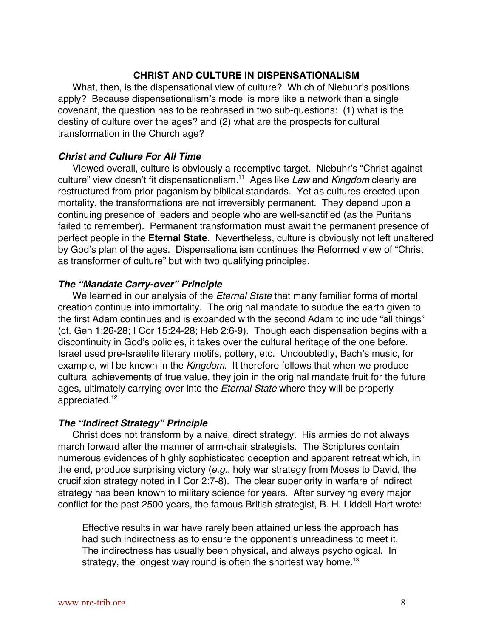## **CHRIST AND CULTURE IN DISPENSATIONALISM**

What, then, is the dispensational view of culture? Which of Niebuhr's positions apply? Because dispensationalism's model is more like a network than a single covenant, the question has to be rephrased in two sub-questions: (1) what is the destiny of culture over the ages? and (2) what are the prospects for cultural transformation in the Church age?

## **Christ and Culture For All Time**

Viewed overall, culture is obviously a redemptive target. Niebuhr's "Christ against culture" view doesn't fit dispensationalism.<sup>11</sup> Ages like Law and Kingdom clearly are restructured from prior paganism by biblical standards. Yet as cultures erected upon mortality, the transformations are not irreversibly permanent. They depend upon a continuing presence of leaders and people who are well-sanctified (as the Puritans failed to remember). Permanent transformation must await the permanent presence of perfect people in the **Eternal State**. Nevertheless, culture is obviously not left unaltered by God's plan of the ages. Dispensationalism continues the Reformed view of "Christ as transformer of culture" but with two qualifying principles.

### **The "Mandate Carry-over" Principle**

We learned in our analysis of the Eternal State that many familiar forms of mortal creation continue into immortality. The original mandate to subdue the earth given to the first Adam continues and is expanded with the second Adam to include "all things" (cf. Gen 1:26-28; I Cor 15:24-28; Heb 2:6-9). Though each dispensation begins with a discontinuity in God's policies, it takes over the cultural heritage of the one before. Israel used pre-Israelite literary motifs, pottery, etc. Undoubtedly, Bach's music, for example, will be known in the Kingdom. It therefore follows that when we produce cultural achievements of true value, they join in the original mandate fruit for the future ages, ultimately carrying over into the Eternal State where they will be properly appreciated.12

#### **The "Indirect Strategy" Principle**

Christ does not transform by a naive, direct strategy. His armies do not always march forward after the manner of arm-chair strategists. The Scriptures contain numerous evidences of highly sophisticated deception and apparent retreat which, in the end, produce surprising victory (e.g., holy war strategy from Moses to David, the crucifixion strategy noted in I Cor 2:7-8). The clear superiority in warfare of indirect strategy has been known to military science for years. After surveying every major conflict for the past 2500 years, the famous British strategist, B. H. Liddell Hart wrote:

Effective results in war have rarely been attained unless the approach has had such indirectness as to ensure the opponent's unreadiness to meet it. The indirectness has usually been physical, and always psychological. In strategy, the longest way round is often the shortest way home.<sup>13</sup>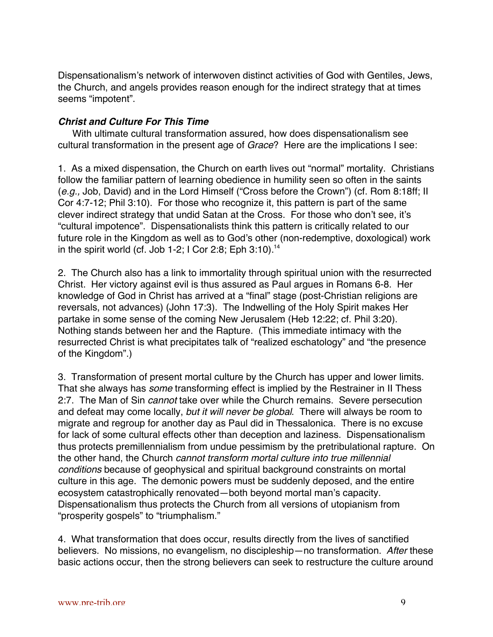Dispensationalism's network of interwoven distinct activities of God with Gentiles, Jews, the Church, and angels provides reason enough for the indirect strategy that at times seems "impotent".

## **Christ and Culture For This Time**

With ultimate cultural transformation assured, how does dispensationalism see cultural transformation in the present age of Grace? Here are the implications I see:

1. As a mixed dispensation, the Church on earth lives out "normal" mortality. Christians follow the familiar pattern of learning obedience in humility seen so often in the saints (e.g., Job, David) and in the Lord Himself ("Cross before the Crown") (cf. Rom 8:18ff; II Cor 4:7-12; Phil 3:10). For those who recognize it, this pattern is part of the same clever indirect strategy that undid Satan at the Cross. For those who don't see, it's "cultural impotence". Dispensationalists think this pattern is critically related to our future role in the Kingdom as well as to God's other (non-redemptive, doxological) work in the spirit world (cf. Job 1-2; I Cor 2:8; Eph  $3:10$ ).<sup>14</sup>

2. The Church also has a link to immortality through spiritual union with the resurrected Christ. Her victory against evil is thus assured as Paul argues in Romans 6-8. Her knowledge of God in Christ has arrived at a "final" stage (post-Christian religions are reversals, not advances) (John 17:3). The Indwelling of the Holy Spirit makes Her partake in some sense of the coming New Jerusalem (Heb 12:22; cf. Phil 3:20). Nothing stands between her and the Rapture. (This immediate intimacy with the resurrected Christ is what precipitates talk of "realized eschatology" and "the presence of the Kingdom".)

3. Transformation of present mortal culture by the Church has upper and lower limits. That she always has some transforming effect is implied by the Restrainer in II Thess 2:7. The Man of Sin *cannot* take over while the Church remains. Severe persecution and defeat may come locally, but it will never be global. There will always be room to migrate and regroup for another day as Paul did in Thessalonica. There is no excuse for lack of some cultural effects other than deception and laziness. Dispensationalism thus protects premillennialism from undue pessimism by the pretribulational rapture. On the other hand, the Church cannot transform mortal culture into true millennial conditions because of geophysical and spiritual background constraints on mortal culture in this age. The demonic powers must be suddenly deposed, and the entire ecosystem catastrophically renovated—both beyond mortal man's capacity. Dispensationalism thus protects the Church from all versions of utopianism from "prosperity gospels" to "triumphalism."

4. What transformation that does occur, results directly from the lives of sanctified believers. No missions, no evangelism, no discipleship—no transformation. After these basic actions occur, then the strong believers can seek to restructure the culture around